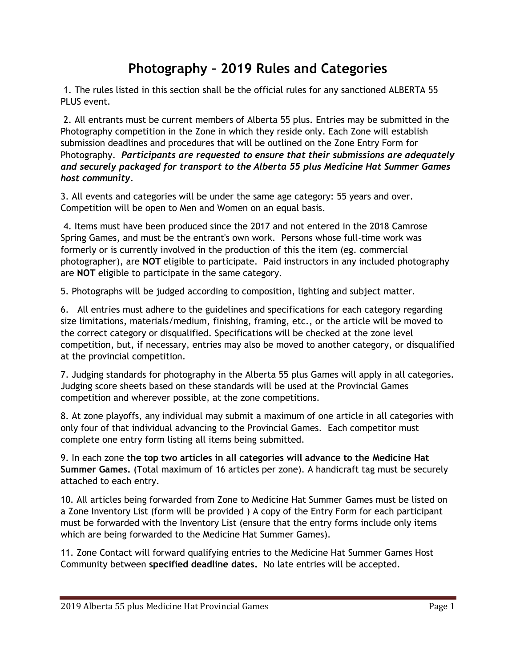## **Photography – 2019 Rules and Categories**

1. The rules listed in this section shall be the official rules for any sanctioned ALBERTA 55 PLUS event.

2. All entrants must be current members of Alberta 55 plus. Entries may be submitted in the Photography competition in the Zone in which they reside only. Each Zone will establish submission deadlines and procedures that will be outlined on the Zone Entry Form for Photography. *Participants are requested to ensure that their submissions are adequately and securely packaged for transport to the Alberta 55 plus Medicine Hat Summer Games host community.*

3. All events and categories will be under the same age category: 55 years and over. Competition will be open to Men and Women on an equal basis.

4. Items must have been produced since the 2017 and not entered in the 2018 Camrose Spring Games, and must be the entrant's own work. Persons whose full-time work was formerly or is currently involved in the production of this the item (eg. commercial photographer), are **NOT** eligible to participate. Paid instructors in any included photography are **NOT** eligible to participate in the same category.

5. Photographs will be judged according to composition, lighting and subject matter.

6. All entries must adhere to the guidelines and specifications for each category regarding size limitations, materials/medium, finishing, framing, etc., or the article will be moved to the correct category or disqualified. Specifications will be checked at the zone level competition, but, if necessary, entries may also be moved to another category, or disqualified at the provincial competition.

7. Judging standards for photography in the Alberta 55 plus Games will apply in all categories. Judging score sheets based on these standards will be used at the Provincial Games competition and wherever possible, at the zone competitions.

8. At zone playoffs, any individual may submit a maximum of one article in all categories with only four of that individual advancing to the Provincial Games. Each competitor must complete one entry form listing all items being submitted.

9. In each zone **the top two articles in all categories will advance to the Medicine Hat Summer Games.** (Total maximum of 16 articles per zone). A handicraft tag must be securely attached to each entry.

10. All articles being forwarded from Zone to Medicine Hat Summer Games must be listed on a Zone Inventory List (form will be provided ) A copy of the Entry Form for each participant must be forwarded with the Inventory List (ensure that the entry forms include only items which are being forwarded to the Medicine Hat Summer Games).

11. Zone Contact will forward qualifying entries to the Medicine Hat Summer Games Host Community between **specified deadline dates.** No late entries will be accepted.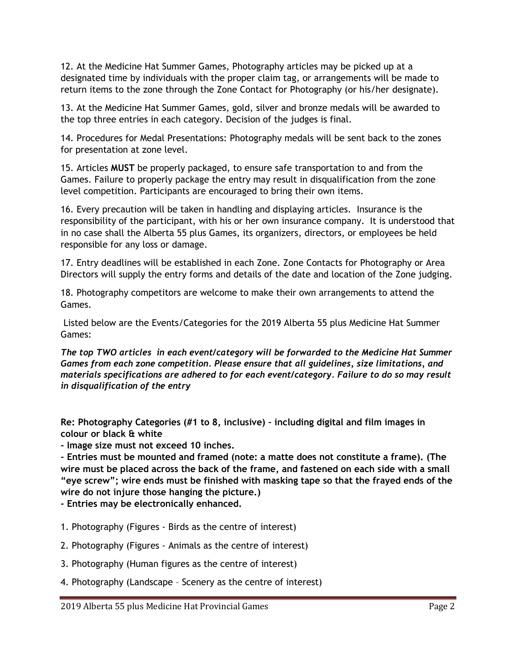12. At the Medicine Hat Summer Games, Photography articles may be picked up at a designated time by individuals with the proper claim tag, or arrangements will be made to return items to the zone through the Zone Contact for Photography (or his/her designate).

13. At the Medicine Hat Summer Games, gold, silver and bronze medals will be awarded to the top three entries in each category. Decision of the judges is final.

14. Procedures for Medal Presentations: Photography medals will be sent back to the zones for presentation at zone level.

15. Articles **MUST** be properly packaged, to ensure safe transportation to and from the Games. Failure to properly package the entry may result in disqualification from the zone level competition. Participants are encouraged to bring their own items.

16. Every precaution will be taken in handling and displaying articles. Insurance is the responsibility of the participant, with his or her own insurance company. It is understood that in no case shall the Alberta 55 plus Games, its organizers, directors, or employees be held responsible for any loss or damage.

17. Entry deadlines will be established in each Zone. Zone Contacts for Photography or Area Directors will supply the entry forms and details of the date and location of the Zone judging.

18. Photography competitors are welcome to make their own arrangements to attend the Games.

Listed below are the Events/Categories for the 2019 Alberta 55 plus Medicine Hat Summer Games:

*The top TWO articles in each event/category will be forwarded to the Medicine Hat Summer Games from each zone competition. Please ensure that all guidelines, size limitations, and materials specifications are adhered to for each event/category. Failure to do so may result in disqualification of the entry*

**Re: Photography Categories (#1 to 8, inclusive) – including digital and film images in colour or black & white** 

**- Image size must not exceed 10 inches.** 

**- Entries must be mounted and framed (note: a matte does not constitute a frame). (The wire must be placed across the back of the frame, and fastened on each side with a small "eye screw"; wire ends must be finished with masking tape so that the frayed ends of the wire do not injure those hanging the picture.)** 

**- Entries may be electronically enhanced.**

- 1. Photography (Figures Birds as the centre of interest)
- 2. Photography (Figures Animals as the centre of interest)
- 3. Photography (Human figures as the centre of interest)
- 4. Photography (Landscape Scenery as the centre of interest)